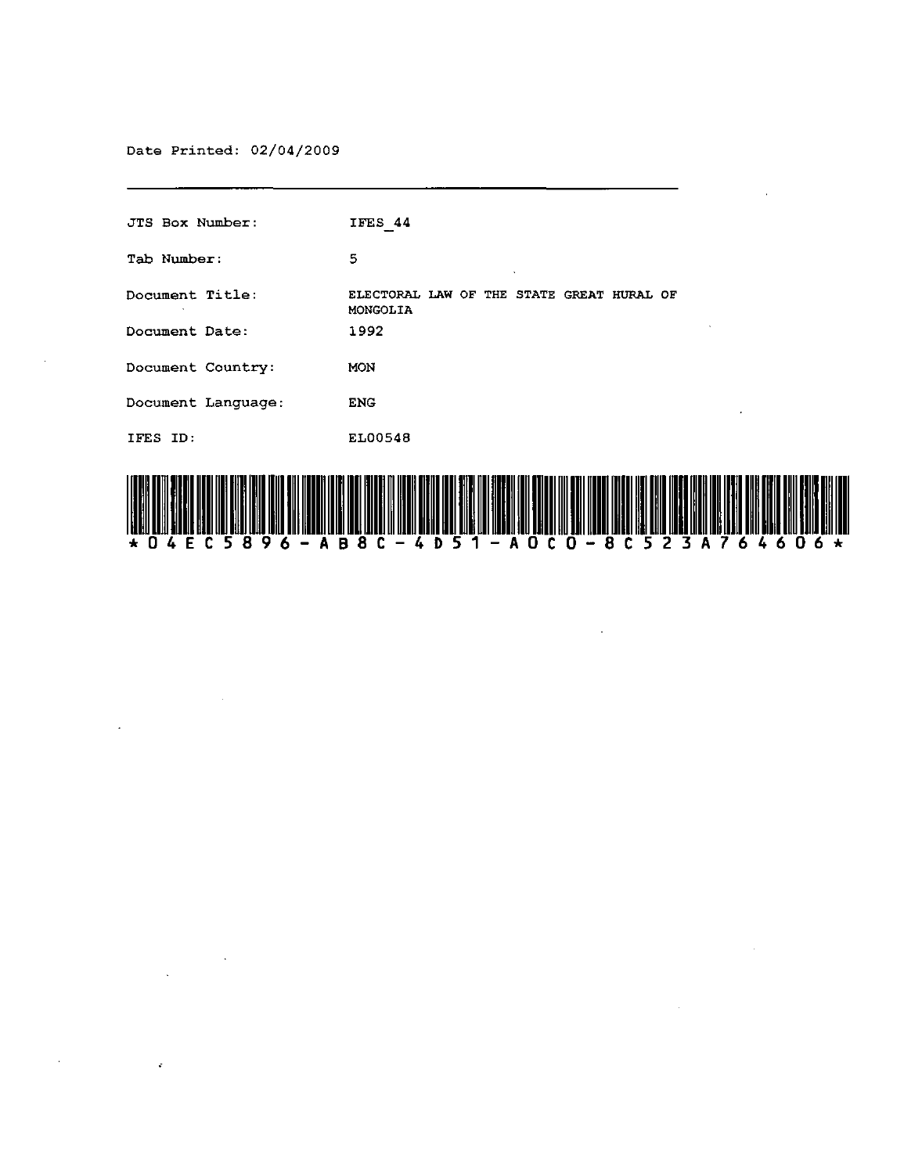Date Printed: 02/04/2009

J.

 $\mathcal{L}$ 

 $\label{eq:2} \frac{1}{\sqrt{2}}\left(\frac{1}{\sqrt{2}}\right)^{2} \left(\frac{1}{\sqrt{2}}\right)^{2}$ 

 $\hat{\mathbf{r}}$ 

 $\epsilon$ 

| IFES 44                                               |
|-------------------------------------------------------|
| 5                                                     |
| ELECTORAL LAW OF THE STATE GREAT HURAL OF<br>MONGOLIA |
| 1992                                                  |
| <b>MON</b>                                            |
| <b>ENG</b><br>$\bullet$                               |
| EL00548                                               |
|                                                       |



 $\bar{z}$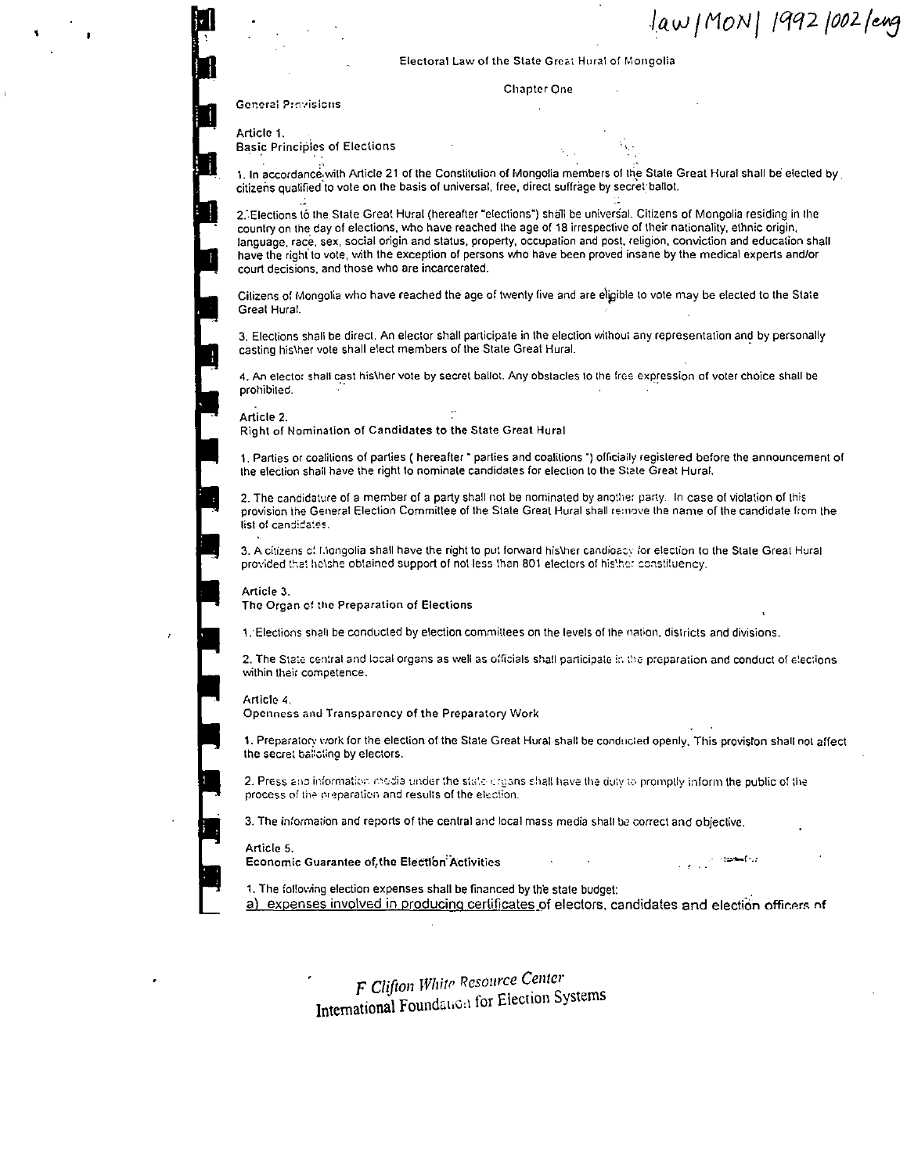law / MON | 1992 1002 / eng

Electoral Law of the State Great Hural of Mongolia

Chapter One

General Provisions

Article 1.

Basic Principies of Elections

1. In accordance with Article 21 of the Constitution of Mongolia members of the State Great Hural shall be elected by citizens qualified to vote on the basis of universal, free, direct suffrage by secret ballot.

2. Elections to the State Great Hural (hereafter "elections") shall be universal. Citizens of Mongolia residing in the country on the day of elections, who have reached the age of 18 irrespective of their nationality, ethnic origin, language, race, sex, social origin and status, property, occupation and post, religion, conviction and education shall have the right 10 vote, with the exception of persons who have been proved insane by the medical experts andlor court decisions, and those who are incarcerated.

Citizens of Mongolia who have reached the age of twenty five and are eligible to vote may be elected to the State Great Hural.

3. Elections shall be direct. An elector shall participate in the election without any representation and by personally casting his\her vote shall elect members of the State Great Hural.

4. An elector shall cast his\her vote by secret ballot. Any obstacles to the free expression of voter choice shall be prohibited.

Article 2.

Right of Nomination of Candidates to the State Great Hural

1. Parties or coalitions of parties ( hereafter - parties and coalitions ") officiaily registered before the announcement of the election shall have the right to nominate candidates for election to the State Great Hural.

2. The candidature of a member of a party shall not be nominated by ano!he; party. In case of violation of this provision the General Election Committee of the State Great Hural shall re:nove the name of the candidate from the list of candidates.

3. A citizens c! Mongolia shall have the right to put forward his\her candidacy for election to the State Great Hural provided that helshe obtained support of not less than 801 electors of histher constituency.

Article 3.

The Organ of the Preparation of Elections

1. Elections shall be conducted by election committees on the levels of the nation, districts and divisions,

2. The State central and local organs as well as officials shall participate in the preparation and conduct of elections within their competence.

#### Article 4.

Openness anu Transparency of the Preparatory Work

1. Preparatory work for the election of the State Great Hural shall be conducted openly. This proviston shall not affect the secret balloting by electors.

2. Press and information media under the state creans shall have the duty to promptly inform the public of the process of the preparation and results of the election.

3. The information and reports of the central ane local mass media shall be correct and objective.

#### Article 5.

Economic Guarantee of(thc Elect1bn:Activities ·:=--f·.·

1. The following election expenses shall be financed by the state budget:

a) expenses involved in producing certificates of electors, candidates and election officers of

F *Clifton Whitr Resource Center*  International Foundation for Election Systems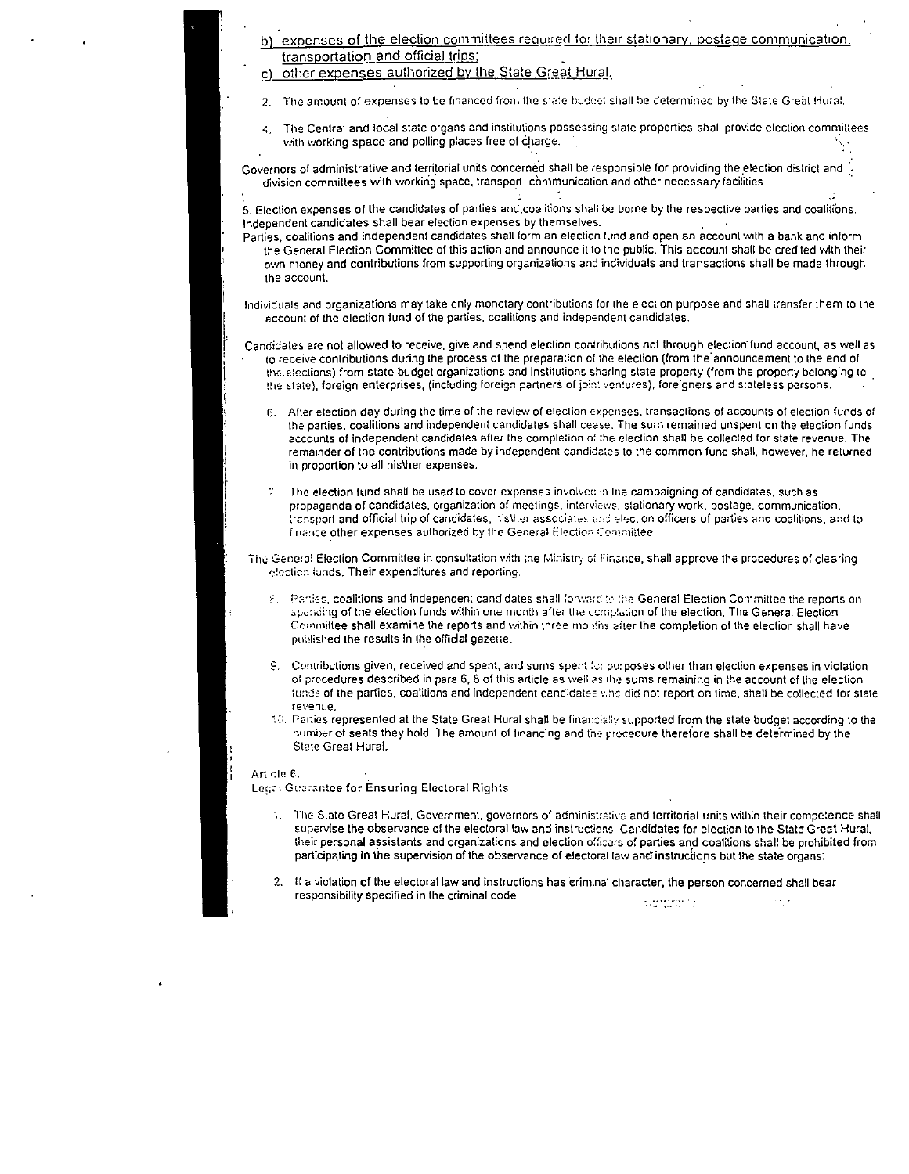# expenses of the election committees required for their stationary, postage communication, transportation and official trips:

c) other expenses authorized by the State Great Hural.

- 2. The amount of expenses to be financed from the state budget shall be determined by the State Great Hural.
- The Central and local state organs and institutions possessing state properties shall provide election committees  $\epsilon$ with working space and polling places free of charge.

Governors of administrative and territorial units concerned shall be responsible for providing the election district and division committees with working space, transport, communication and other necessary facilities.

5. Election expenses of the candidates of parties and coalitions shall be borne by the respective parties and coalitions. Independent candidates shall bear election expenses by themselves.

Parties, coalitions and independent candidates shall form an election fund and open an account with a bank and inform the General Election Committee of this action and announce it to the public. This account shall be credited with their own money and contributions from supporting organizations and individuals and transactions shall be made through the account.

Individuals and organizations may take only monetary contributions for the election purpose and shall transfer them to the account of the election fund of the parties, coalitions and independent candidates.

- Candidates are not allowed to receive, give and spend election contributions not through election fund account, as well as to receive contributions during the process of the preparation of the election (from the announcement to the end of the elections) from state budget organizations and institutions sharing state property (from the property belonging to the state), foreign enterprises, (including foreign partners of joint ventures), foreigners and stateless persons.
	- 6. After election day during the time of the review of election expenses, transactions of accounts of election funds of the parties, coalitions and independent candidates shall cease. The sum remained unspent on the election funds accounts of independent candidates after the completion of the election shall be collected for state revenue. The remainder of the contributions made by independent candidates to the common fund shall, however, he returned in proportion to all his\her expenses.
	- 7. The election fund shall be used to cover expenses involved in the campaigning of candidates, such as propaganda of candidates, organization of meetings, interviews, stationary work, postage, communication, transport and official trip of candidates, his/her associates and election officers of parties and coalitions, and to finance other expenses authorized by the General Election Committee.

The General Election Committee in consultation with the Ministry of Finance, shall approve the procedures of clearing election funds. Their expenditures and reporting.

- 8. Parties, coalitions and independent candidates shall forward to the General Election Committee the reports on spending of the election funds within one month after the complation of the election. The General Election Committee shall examine the reports and within three months after the completion of the election shall have published the results in the official gazette.
- 9. Contributions given, received and spent, and sums spent for purposes other than election expenses in violation of procedures described in para 6, 8 of this article as well as the sums remaining in the account of the election funds of the parties, coalitions and independent candidates who did not report on time, shall be collected for state revenue.
- 10. Parties represented at the State Great Hural shall be financially supported from the state budget according to the number of seats they hold. The amount of financing and the procedure therefore shall be determined by the State Great Hural.

# Article 6.

Legr! Guarantee for Ensuring Electoral Rights

- 1. The State Great Hural, Government, governors of administrative and territorial units within their competence shall supervise the observance of the electoral law and instructions. Candidates for election to the State Great Hural, their personal assistants and organizations and election officers of parties and coalitions shall be prohibited from participating in the supervision of the observance of electoral law and instructions but the state organs.
- 2. If a violation of the electoral law and instructions has criminal character, the person concerned shall bear responsibility specified in the criminal code.  $\mathcal{L}$  , and the state  $\sigma_{\rm{eff}}$   $\sigma$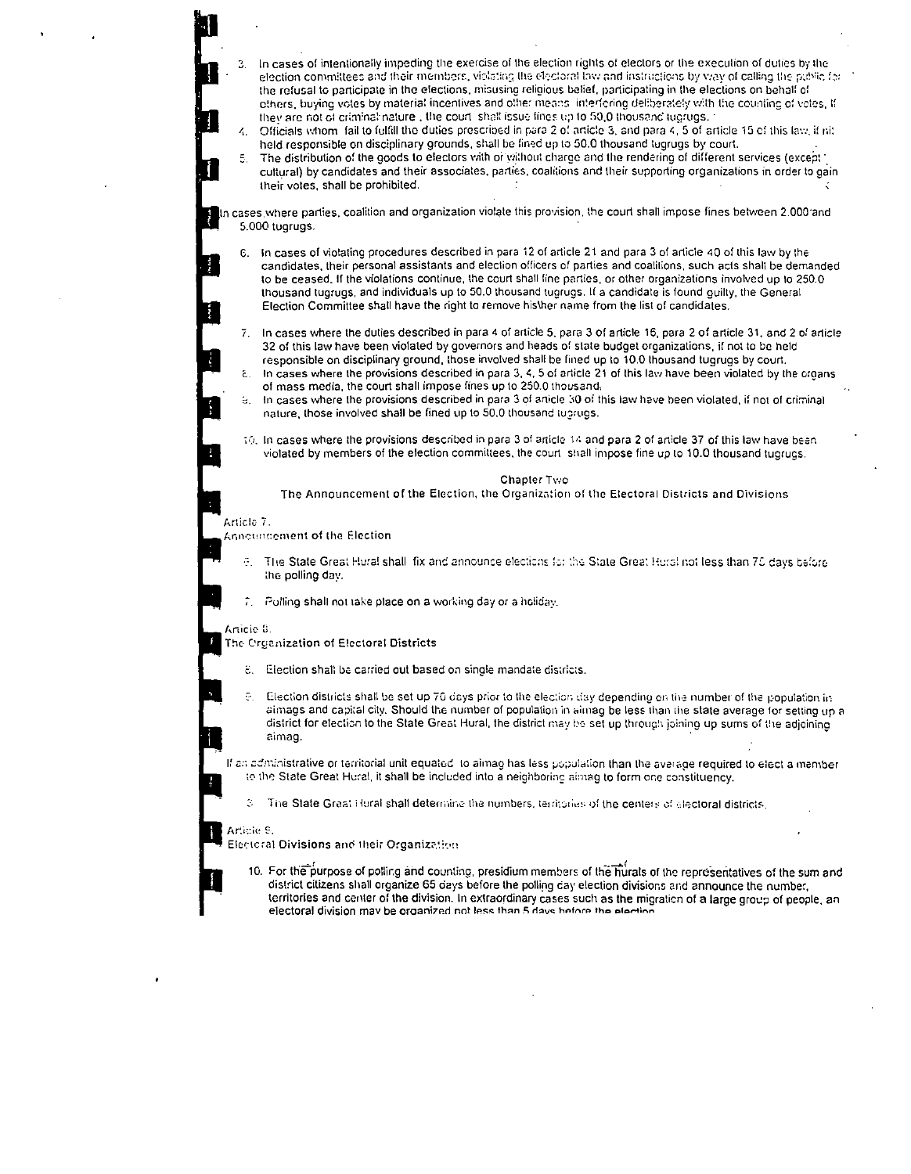|                       | З.         | In cases of intentionally impeding the exercise of the election rights of electors or the execution of duties by the<br>election committees and their members, violating the electoral law and instructions by way of calling the public for<br>the refusal to participate in the elections, misusing religious belief, participating in the elections on behalf of<br>others, buying votes by material incentives and other means linterforing deliberately with the counting of votes, if<br>they are not of criminal nature, the court shall issue fines up to 50,0 thousand tugrugs. 1<br>Officials whom fail to fulfill the duties prescribed in para 2 of article 3, and para 4, 5 of article 15 of this law, if nit<br>held responsible on disciplinary grounds, shall be fined up to 50.0 thousand tugrugs by court.<br>5. The distribution of the goods to electors with or without charge and the rendering of different services (exception<br>cultural) by candidates and their associates, parties, coalitions and their supporting organizations in order to gain<br>their votes, shall be prohibited. |
|-----------------------|------------|----------------------------------------------------------------------------------------------------------------------------------------------------------------------------------------------------------------------------------------------------------------------------------------------------------------------------------------------------------------------------------------------------------------------------------------------------------------------------------------------------------------------------------------------------------------------------------------------------------------------------------------------------------------------------------------------------------------------------------------------------------------------------------------------------------------------------------------------------------------------------------------------------------------------------------------------------------------------------------------------------------------------------------------------------------------------------------------------------------------------|
|                       |            | In cases where parties, coalition and organization violate this provision, the court shall impose fines between 2.000 and<br>5.000 tugrugs.                                                                                                                                                                                                                                                                                                                                                                                                                                                                                                                                                                                                                                                                                                                                                                                                                                                                                                                                                                          |
| <b>Chairman</b><br>Į. |            | 6. In cases of violating procedures described in para 12 of article 21 and para 3 of article 40 of this law by the<br>candidates, their personal assistants and election officers of parties and coalitions, such acts shall be demanded<br>to be ceased. If the violations continue, the court shall fine parties, or other organizations involved up to 250.0<br>thousand tugrugs, and individuals up to 50.0 thousand tugrugs. If a candidate is found quilty, the General<br>Election Committee shall have the right to remove his\her name from the list of candidates.                                                                                                                                                                                                                                                                                                                                                                                                                                                                                                                                         |
|                       | 7.         | In cases where the duties described in para 4 of article 5, para 3 of article 16, para 2 of article 31, and 2 of article<br>32 of this law have been violated by governors and heads of state budget organizations, if not to be held<br>responsible on disciplinary ground, those involved shall be fined up to 10.0 thousand tugrugs by court.<br>8. In cases where the provisions described in para 3, 4, 5 of article 21 of this law have been violated by the croans<br>of mass media, the court shall impose fines up to 250.0 thousand.                                                                                                                                                                                                                                                                                                                                                                                                                                                                                                                                                                       |
|                       | 9. I       | In cases where the provisions described in para 3 of article 30 of this law have been violated, if not of criminal<br>nature, those involved shall be fined up to 50.0 thousand tugrugs.                                                                                                                                                                                                                                                                                                                                                                                                                                                                                                                                                                                                                                                                                                                                                                                                                                                                                                                             |
|                       |            | 10. In cases where the provisions described in para 3 of article 14 and para 2 of article 37 of this law have been<br>violated by members of the election committees, the court shall impose fine up to 10.0 thousand tugrugs.                                                                                                                                                                                                                                                                                                                                                                                                                                                                                                                                                                                                                                                                                                                                                                                                                                                                                       |
|                       |            | Chapter Two<br>The Announcement of the Election, the Organization of the Electoral Districts and Divisions                                                                                                                                                                                                                                                                                                                                                                                                                                                                                                                                                                                                                                                                                                                                                                                                                                                                                                                                                                                                           |
|                       | Article 7. | <b>Announcement of the Election</b>                                                                                                                                                                                                                                                                                                                                                                                                                                                                                                                                                                                                                                                                                                                                                                                                                                                                                                                                                                                                                                                                                  |
|                       |            | 9. The State Great Hural shall fix and announce elections for the State Great Hural not less than 70 days before<br>the polling day.                                                                                                                                                                                                                                                                                                                                                                                                                                                                                                                                                                                                                                                                                                                                                                                                                                                                                                                                                                                 |
|                       |            | Polling shall not take place on a working day or a holiday.                                                                                                                                                                                                                                                                                                                                                                                                                                                                                                                                                                                                                                                                                                                                                                                                                                                                                                                                                                                                                                                          |
|                       | Anicie 8.  | The Organization of Electoral Districts                                                                                                                                                                                                                                                                                                                                                                                                                                                                                                                                                                                                                                                                                                                                                                                                                                                                                                                                                                                                                                                                              |
|                       | E.,        | Election shall be carried out based on single mandate districts.                                                                                                                                                                                                                                                                                                                                                                                                                                                                                                                                                                                                                                                                                                                                                                                                                                                                                                                                                                                                                                                     |
|                       |            | Election districts shall be set up 70 days prior to the election day depending on the number of the population in<br>aimags and capital city. Should the number of population in aimag be less than the state average for setting up a<br>district for election to the State Great Hural, the district may be set up through joining up sums of the adjoining<br>aimag.                                                                                                                                                                                                                                                                                                                                                                                                                                                                                                                                                                                                                                                                                                                                              |
|                       |            | If an administrative or territorial unit equated to almag has less population than the average required to elect a member<br>to the State Great Hural, it shall be included into a neighboring aimag to form one constituency.                                                                                                                                                                                                                                                                                                                                                                                                                                                                                                                                                                                                                                                                                                                                                                                                                                                                                       |
|                       | 3.         | The State Great Hural shall determine the numbers, territories of the centers of electoral districts,                                                                                                                                                                                                                                                                                                                                                                                                                                                                                                                                                                                                                                                                                                                                                                                                                                                                                                                                                                                                                |
|                       | Article 9. | Electoral Divisions and their Organization                                                                                                                                                                                                                                                                                                                                                                                                                                                                                                                                                                                                                                                                                                                                                                                                                                                                                                                                                                                                                                                                           |
|                       |            | 10. For the purpose of polling and counting, presidium members of the hurals of the representatives of the sum and<br>district citizens shall organize 65 days before the polling day election divisions and announce the number,<br>territories and center of the division. In extraordinary cases such as the migration of a large group of people, an<br>electoral division may be organized not less than 5 days before the election                                                                                                                                                                                                                                                                                                                                                                                                                                                                                                                                                                                                                                                                             |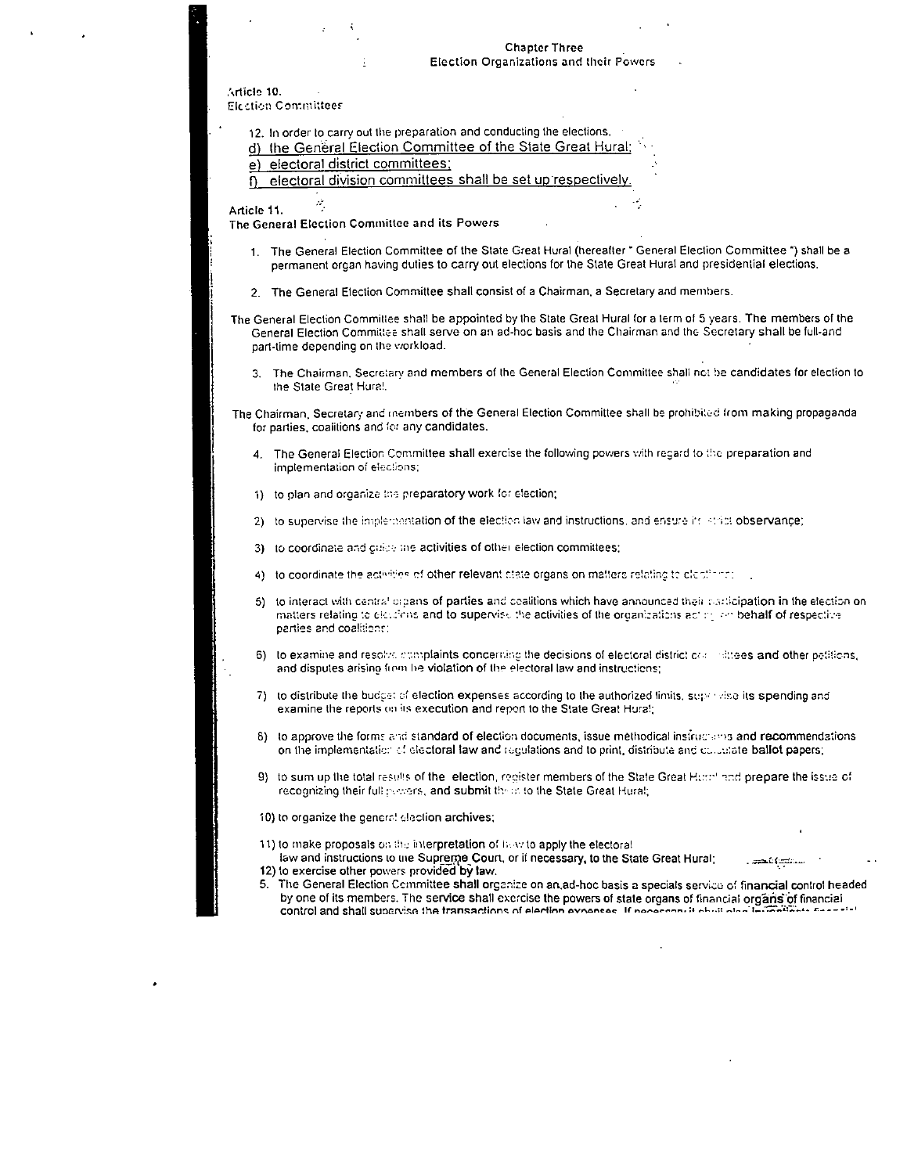# **Chapter Three** Election Organizations and their Powers

Article 10. Election Committees

- 12. In order to carry out the preparation and conducting the elections.
- d) the General Election Committee of the State Great Hural;
- e) electoral district committees;
- electoral division committees shall be set up respectively.  $\mathsf{n}$

Article 11.

The General Election Committee and its Powers

- 1. The General Election Committee of the State Great Hural (hereafter \* General Election Committee \*) shall be a permanent organ having duties to carry out elections for the State Great Hural and presidential elections.
- 2. The General Election Committee shall consist of a Chairman, a Secretary and members.
- The General Election Committee shall be appointed by the State Great Hural for a term of 5 years. The members of the General Election Committee shall serve on an ad-hoc basis and the Chairman and the Secretary shall be full-and part-time depending on the viorkload.
	- The Chairman, Secretary and members of the General Election Committee shall not be candidates for election to  $\overline{3}$ . the State Great Hura!

The Chairman, Secretary and members of the General Election Committee shall be prohibited from making propaganda for parties, coalitions and for any candidates.

- The General Election Committee shall exercise the following powers with regard to the preparation and implementation of elections;
- 1) to plan and organize the preparatory work for election;
- 2) to supervise the implementation of the election law and instructions, and ensure its stript observance;
- 3) to coordinate and guide the activities of other election committees;
- 4) to coordinate the activities of other relevant state organs on matters relating to clostings:
- 5) to interact with central organs of parties and coalitions which have announced their carticipation in the election on matters relating to elections and to supervise the activities of the organizations acting an behalf of respective parties and coalitions:
- 6) to examine and resolve complaints concerning the decisions of electoral district contrattees and other petitions. and disputes arising from he violation of the electoral law and instructions;
- 7) to distribute the budget of election expenses according to the authorized limits, supervise its spending and examine the reports on its execution and report to the State Great Hural;
- 8) to approve the forms and standard of election documents, issue methodical instruments and recommendations on the implementation of electoral faw and regulations and to print, distribute and collectate ballot papers;
- 9) to sum up the total results of the lelection, register members of the State Great Horn' and prepare the issue of recognizing their full powers, and submit their to the State Great Hural;
- 10) to organize the general election archives;

11) to make proposals on the interpretation of how to apply the electoral

law and instructions to the Supreme Court, or if necessary, to the State Great Hural: 12) to exercise other powers provided by law.

The General Election Committee shall organize on an ad-hoc basis a specials service of financial control headed 5. by one of its members. The service shall exercise the powers of state organs of financial organs of financial control and shall supervise the transactions of election expenses. If personnell shall also in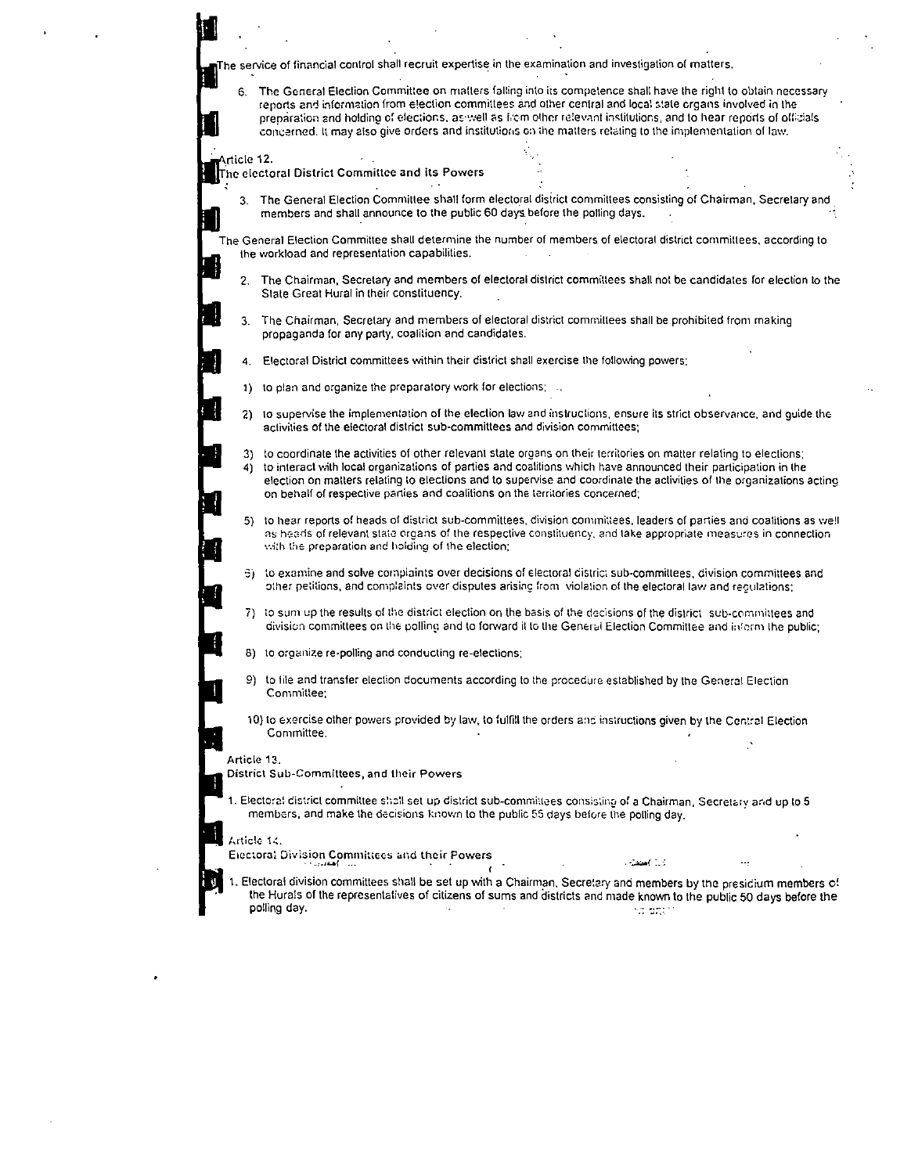| The service of financial control shall recruit expertise in the examination and investigation of matters, |
|-----------------------------------------------------------------------------------------------------------|
|-----------------------------------------------------------------------------------------------------------|

The General Election Committee on matters falling into its competence shall have the right to obtain necessary 6. reports and information from e!ection committees and other central and local state organs involved in the preparation and holding of elections, as well as from other relevant institutions, and to hear reports of officials concerned. It may also give orders and institutions on the matters relating to the implementation of law.

rticle 12. The electoral District Committee and its Powers

The General Election Committee shall form electoral district committees consisting of Chairman. Secretary and  $\mathbf{R}$ members and shall announce to the public 60 days. before the polling days.

The General Election Committee shall determine the number of members of electoral district committees, according to Ihe workload and representation capabilities.

- 2. The Chairman, Secretary and members of electoral district committees shall not be candidates for election to the State Great Hural in their constituency.
- 3. The Chairman, Secretary and members of electoral district committees shall be prohibited from making propaganda for any party, coalition and candidates.
- 4. Electoral District committees within their district shall exercise the following powers:
- 1) to plan and organize the preparatory work for elections:
- 2) to supervise the implementation of the election law and instructions, ensure its strict observance, and quide the activities of the electoral district sub·committees and division committees;
- 3) to coordinate the activities of other relevant state organs on their territories on matter relating to elections: 4) to interact \'Jith local organizations of parties and coalitions which have announced their participation in the election on matters relating 10 elections and to supervise and coordinate the activities of the organizations acting on behalf of respective parties and coalitions on the territories concerned;
- 5) to hear reports of heads of district sub-committees, division committees, leaders of parties and coalitions as well as heads of relevant state organs of the respective constituency, and take appropriate measures in connection with the preparation and holding of the election;
- $3)$  to examine and solve complaints over decisions of electoral district sub-committees, division committees and other petitions, and complaints over disputes arising from violation of the electoral law and requiations;
- 7) to sum up the results of the district election on the basis of the decisions of the district sub-committees and division committees on the polling and to forward it to the General Election Committee and inform the public;
- 8) to organize re-polling and conducting re-elections;
- 9) to lile and transfer election documents according to the procedure established by the General Election Committee:
- 10) to exercise other powers provided by law, to fulfill the orders and instructions given by the Central Election Committee.

Article 13.

District Sub·Committees, and their Powers

1. Electoral district committee shall set up district sub-committees consisting of a Chairman, Secretary and up to 5 members, and make the decisions known to the public 55 days before the polling day.

Article 14.

Electoral Division Committees and their Powers "

1. Electoral division committees shall be set up with a Chairman. Secretary and members by the presidium members of the Hura!s of the representatives of citizens of sums and districts and made known to the public 50 days before the polling day. The contract of the contract of the contract of the contract of the contract of the contract of the contract of the contract of the contract of the contract of the contract of the contract of the contract of t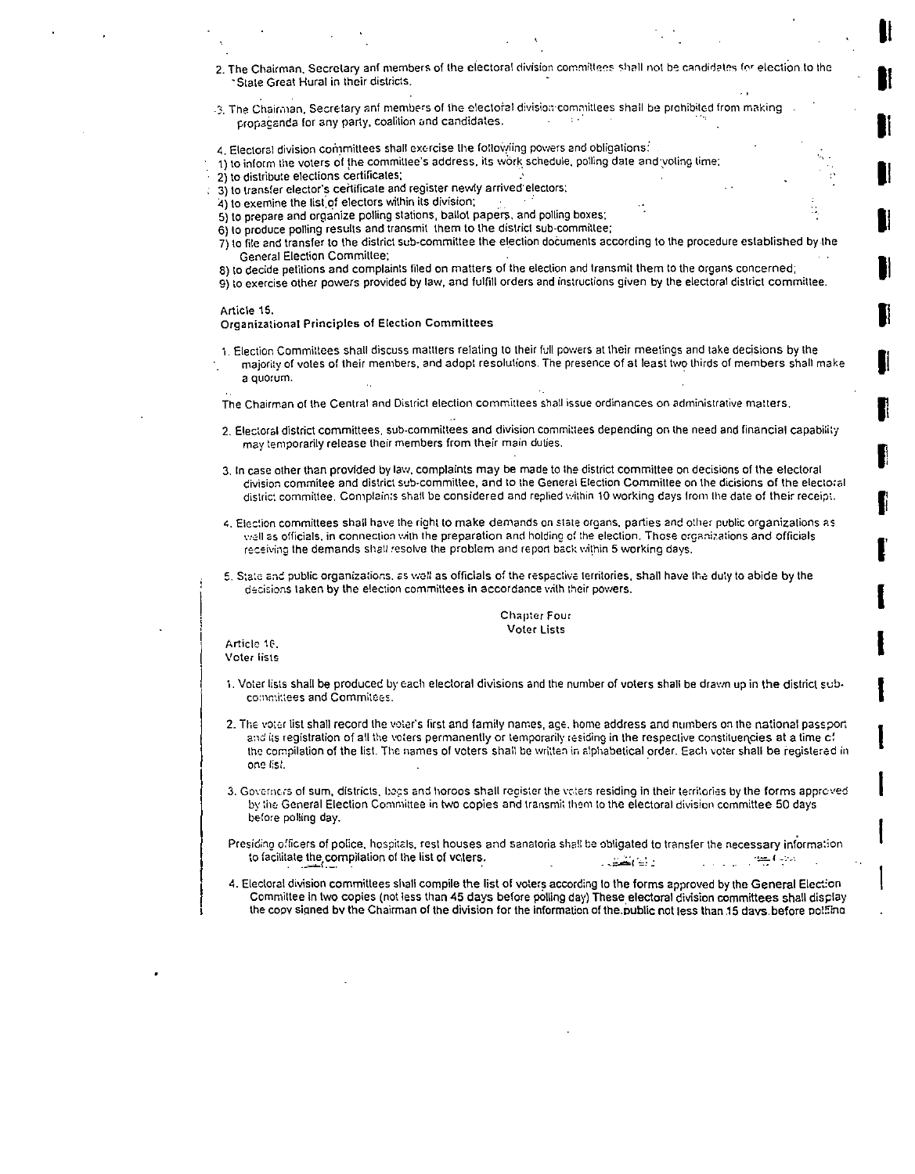2. The Chairman, Secretary anf members of the electoral division committees shall not be candidates for election to the State Great Hural in their districts.

II

**UI** 

II

**U**I

**U** 

**UI** 

**JI** 

II

I'

I

I

I

- .3. The Chairman, Secretary anf members of the electoral division committees shall be prohibited from making propaganda for any party, coalition and candidates.
- 4. Electoral division committees shall exercise the followiing powers and obligations:
- 1) to inform the voters of the committee's address, its work schedule, polling date and voting time:
- 2) to distribute elections certificates;
- 3) to transfer elector's certificate and register newly arrived electors:
- $4)$  to exemine the list of electors within its division;
- 5) to prepare and organize polling stations, ballot papers, and polling boxes;
- 6) to produce polling results and transmit them to the district sub-committee;
- 7) to file and transfer to the district sub-committee the election documents according to the procedure established by the General Election Committee;
- 8) to decide petitions and complaints filed on matters of the election and transmit them to the organs concerned;
- 9) to exercise other powers provided by law, and fulfill orders and instructions given by the electoral district committee.

#### Article 15.

Organizational Principles of Election Committees

1. Election Committees shall discuss mattlers relating to their full powers at their meetings and take deciSions by the majority of votes of their members, and adopt resolutions. The presence of at least two thirds of members shall make a quorum.

The Chairman of the Central and Dislrict election committees shall issue ordinances on administrative matters.

- 2. Electoral district committees, sub-committees and division committees depending on the need and financial capability may temporarily release their members from their main duties.
- 3. In case other than provided by law, complaints may be made to the district committee on decisions of the electoral civision commitee and district sub-committee, and to the General Election Committee on the dicisions of the electoral distric: committee. Complaints shall be considered and replied within 10 working days from the date of their receipt.
- 4. Election committees shall have the right to make demands on state organs, parties and other public organizations as well as officials, in connection with the preparation and holding of the election. Those organizations and officials receiving the demands shall resolve the problem and report back within 5 working days.
- 5. State and public organizations, as well as officials of the respective territories, shall have the duty to abide by the decisions taken by the election committees in accordance with their powers.

### Chaptcr Four **Voter Lists**

Article 1G. Voter lists

- 1. Voter lists shall be producec by Each electoral divisions and the number of voters shall be drawn up in the district sub- I committees and Commitces.
- 2. The voter list shall record the voter's first and family names, age, home address and numbers on the national passport and its registration of all the voters permanently or temporarily residing in the respective constituencies at a time cf the compilation of the list. The names of voters shall be written in alphabetical order. Each voter shall be registered in onc I:s:'
- 3. Governers of sum, districts, bags and horoos shall register the vaters residing in their territories by the forms approved by the General Election Committee in two copies and transmit them to the electoral division committee 50 days before polling day.
- Presiding officers of police, hospitals, rest houses and sanatoria shall be obligated to transfer the necessary information to facilitate the compilation of the list of vCters.
- 4. Electoral division committees shall compile the list of voters according to the forms approved by the General Election Committee in two copies (not less than 45 days before polling day) These electoral division committees shall display the copy signed by the Chairman of the division for the information of the public not less than 15 days before polaing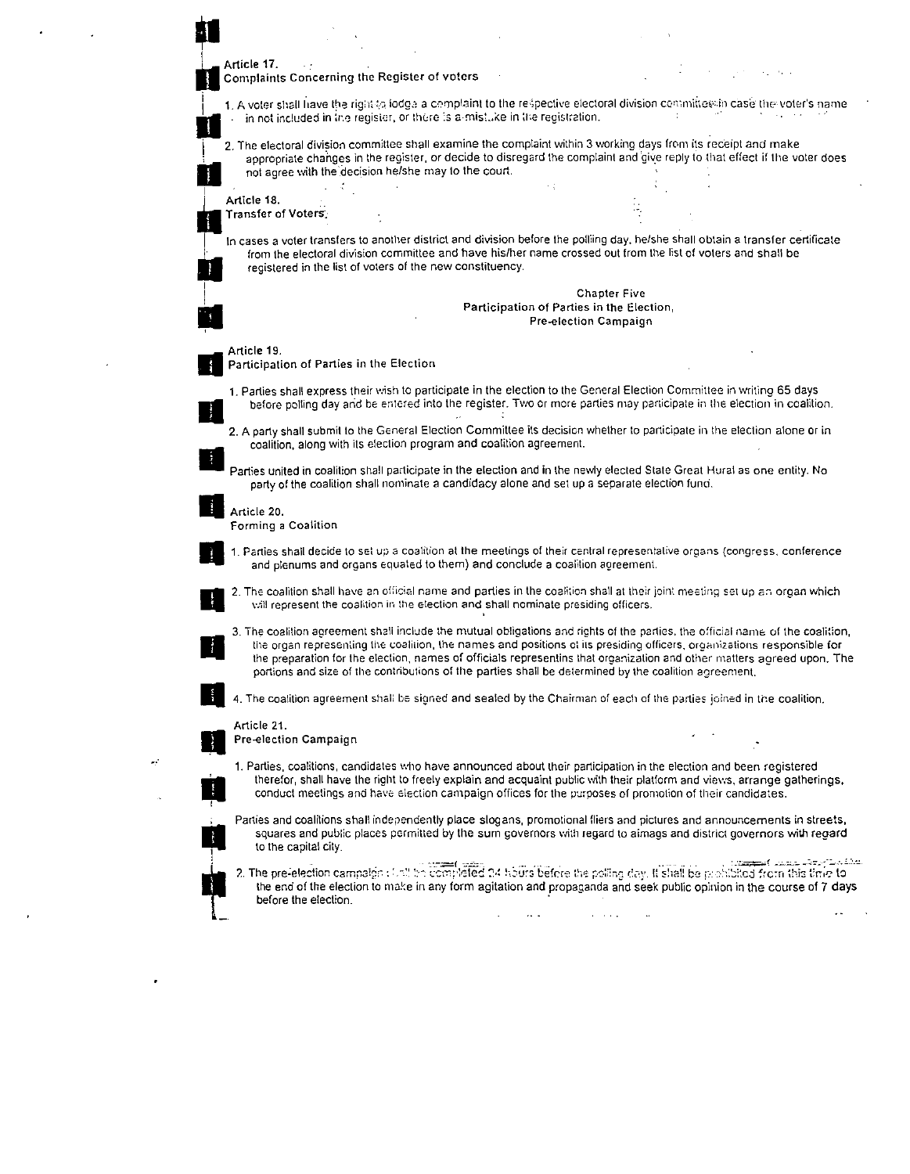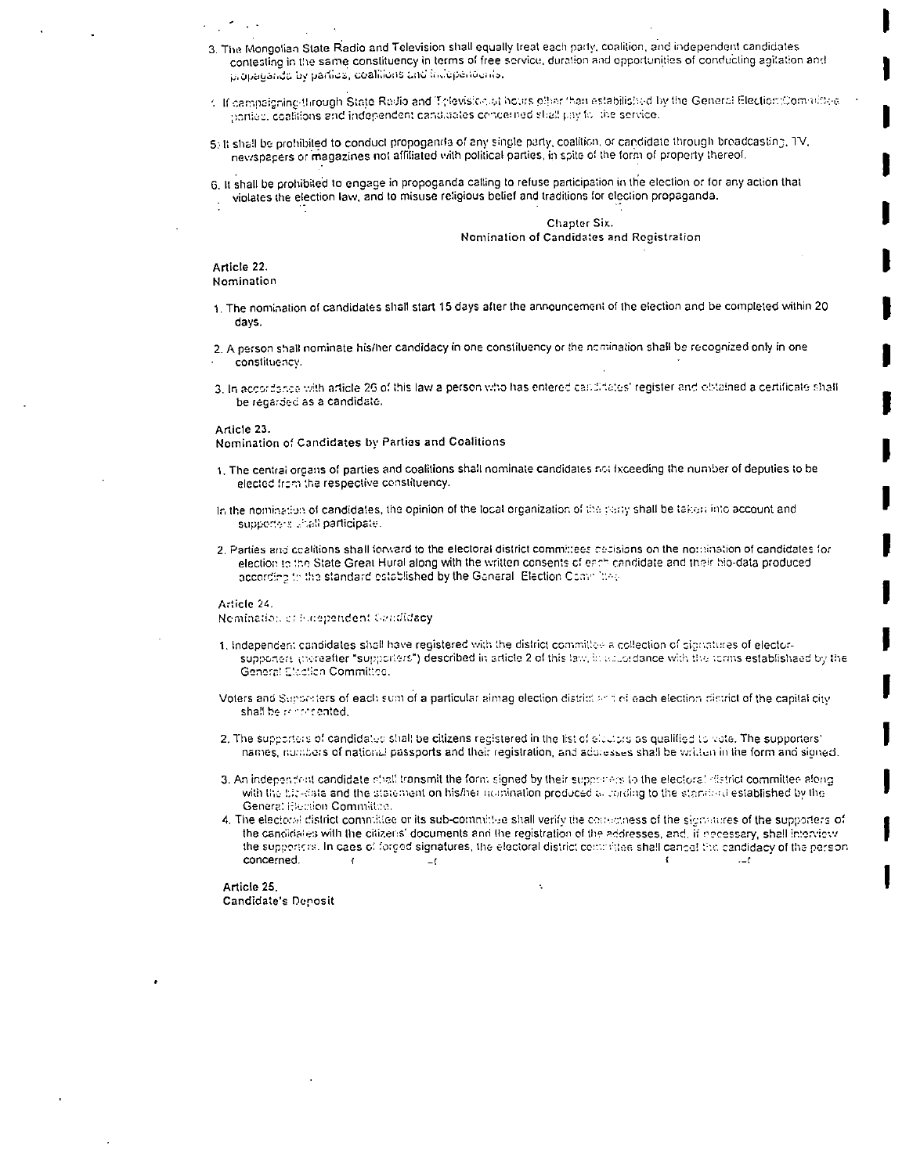- 3. The Mongolian State Radio and Television shall equally treat each party, coalition, and independent candidates contesting in the same constituency in terms of free service, duration and opportunities of conducting agitation and propagando by parties, coalitions und incoperiounts.
- 1. If campaigning through State Radio and Television at hours often than estabilished by the General Election Committee parties, coalitions and independent candidates concerned shall pay foll the service.
- 5. It shall be prohibited to conduct propogands of any single party, coalition, or candidate through broadcasting, TV. newspapers or magazines not affiliated with political parties, in spite of the form of property thereof.
- 6. It shall be prohibited to engage in propoganda calling to refuse participation in the election or for any action that violates the election law, and to misuse religious belief and traditions for election propaganda.

Chapter Six. Nomination of Candidates and Registration

Article 22. Nomination

- 1. The nomination of candidates shall start 15 days after the announcement of the election and be completed within 20 davs.
- 2. A person shall nominate his/her candidacy in one constituency or the nomination shall be recognized only in one constituency.
- 3. In accordance with article 26 of this law a person who has entered candidates' register and obtained a certificate shall be regarded as a candidate.

Article 23.

Nomination of Candidates by Parties and Coalitions

- 1. The central organs of parties and coalitions shall nominate candidates not fxceeding the number of deputies to be elected from the respective constituency.
- In the nomination of candidates, the opinion of the local organization of the party shall be taken into account and supportens whall participate.
- 2. Parties and coalitions shall forward to the electoral district committees decisions on the nomination of candidates for election to the State Great Hural along with the written consents of each candidate and their bio-data produced according to the standard established by the General. Election Committee

Article 24.

Nemination of Enependent Candidacy

- 1, Independent candidates shall have registered with the district committee a collection of signatures of electorsupponers increatier "supporters") described in article 2 of this law, in aduptdance with the torms establisheed by the General Election Committee.
- Voters and Supporters of each sum of a particular almag election district and of each election district of the capital city shall be reconcented.
- 2. The supporters of candidates shall be citizens registered in the list of electors as qualified to vote. The supporters' names, numbers of national passports and their registration, and addresses shall be written in the form and signed.
- 3. An independent candidate shall transmit the form signed by their supporters to the electoral district committee along with the bic-data and the statement on his/her nomination produced all carding to the standard established by the General Heation Committee.
- 4. The electoral district committee or its sub-committee shall verify the correctness of the signatures of the supporters of the candidates with the citizens' documents and the registration of the addresses, and, if necessary, shall interview the supporters. In caes of forged signatures, the electoral district committee shall cancel the candidacy of the person concerned.  $\left\langle \right\rangle$  $-1$  $-1$

Article 25. Candidate's Deposit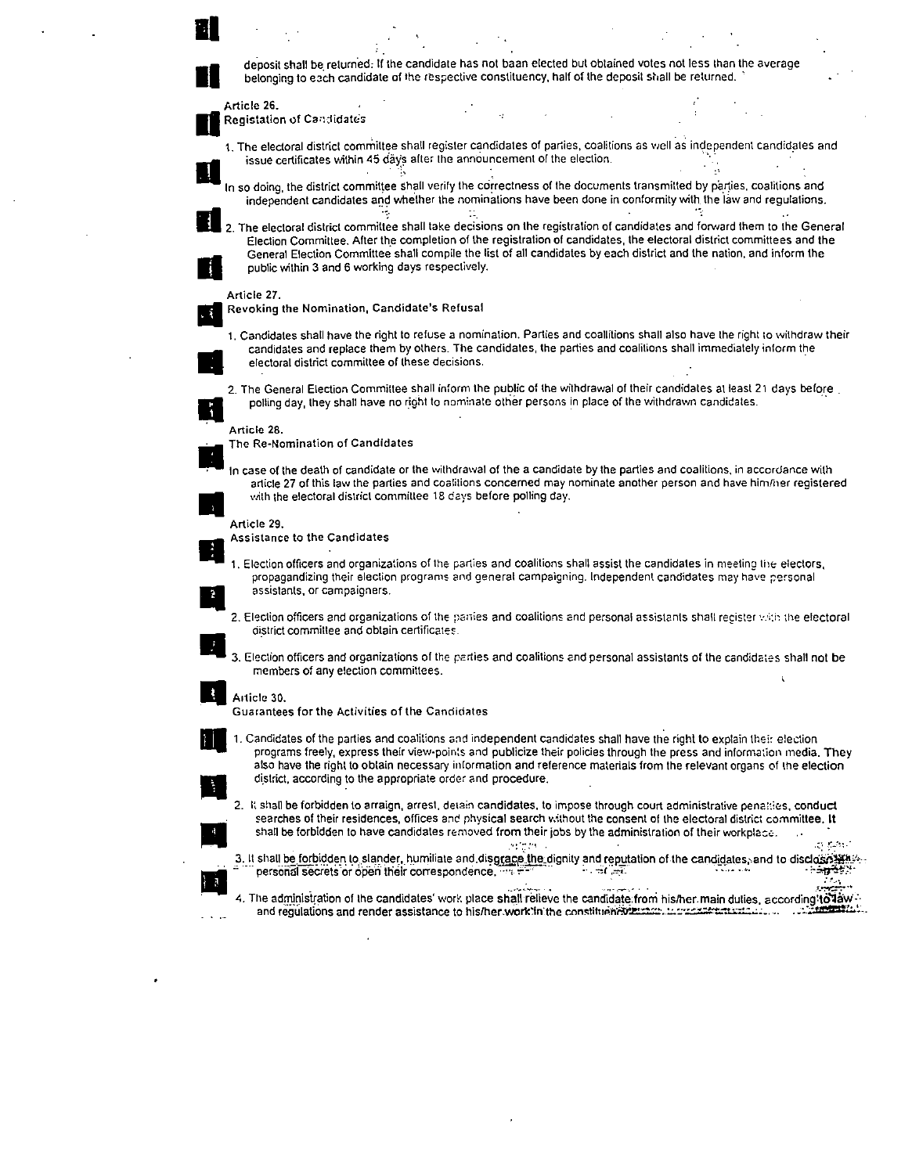deposit shall be returned: If the candidate has not baan elected but obtained votes not less than the average belonging to each candidate of the respective constituency, half of the deposit shall be returned.

Article 26. de Registation of Candidates

1. The electoral district committee shall register candidates of parties, coalitions as well as independent candidates and<br>Its issue certificates within 45 days after the announcement of the election.

In so doing, the district committee shall verify the correctness of the documents transmitted by parties, coalitions and independent candidates and whether the nominations have been done in conformity with the law and regulations.

2. The electoral district committee shall take decisions on the registration of candidates and forward them to the General Election Committee. After the completion of the registration of candidates, the electoral district committees and the General Election Committee shall compile the list of all candidates by each district and the nation, and inform the<br>public within 3 and 6 working days respectively.

## Article 27.

• Revoking the Nomination, Candidate's Refusal

•

1. Candidates shall have the right to refuse a nomination. Parties and coallitions shall also have the right to withdraw their candidates and replace them by others. The candidates, the parties and coalitions shall immediately inform the electoral district committee of these decisions.

2. The General Election Committee shall inform the public of the withdrawal of their candidates at least 21 days before. polling day, they shall have no right to nominate other persons in place of the withdrawn candidates.

## Article 28.

. The Re-Nomination of Candidates

In case of the death of candidate or the withdrawal of the a candidate by the parties and coalitions, in accordance with article 27 of this law the parties and coalitions concerned may nominate another person and have him/ article 27 of this law the parties and coalitions concerned may nominate another person and have him/her registered

Assistance to the Candidates

1. Election officers and organizations of the parties and coalitions shall assist the candidates in meeting the electors, propagandizing their election programs and general campaigning. Independent candidates may have pers propagandizing their election programs and general campaigning. Independent candidates may have personal

- district committee and obtain certificates.
- 3. Election officers and organizations of the parties and coalitions and personal assistants of the candidates shall not be members of any election committees.

# • AI1icle 30.

Guarantees for the Activities of the Candidates

1. Candidates of the parties and coalitions and independent candidates shall have the right to explain their election programs freely, express their view-points and publicize their policies through the press and information media. They also have the right to obtain necessary information and reference materials from the relevant organs of the election programs freely, express their view-points and publicize the also have the right to obtain necessary information and redistrict, according to the appropriate order and procedure.<br>
2. It shall be forbidden to arraign, arres

2. It shall be forbidden to arraign, arrest, detain candidates, to impose through court administrative penalties, conduct searches of their residences, offices and physical search without the consent of the electoral district committee. It shall be forbidden to have candidates removed from their jobs by the administration of their workplace.

 $\sim$   $\sim$   $\sim$ ل المستخرجين بن المستخرجين بن المستخرجين المستخرجين المستخرجين المستخرجين المستخرجين المستخدمين المستخدمين الم<br>يستخدم المستخدمين المستخدمين المستخدمين المستخدمين المستخدمين المستخدمين المستخدمين المستخدمين المستخدمين المس

4. The administration of the candidates' work place shall relieve the candidate from his/her.main duties, according to law and regulations and render assistance to his/her.work?in the constituent?wei::00:10:12222222222222222222222222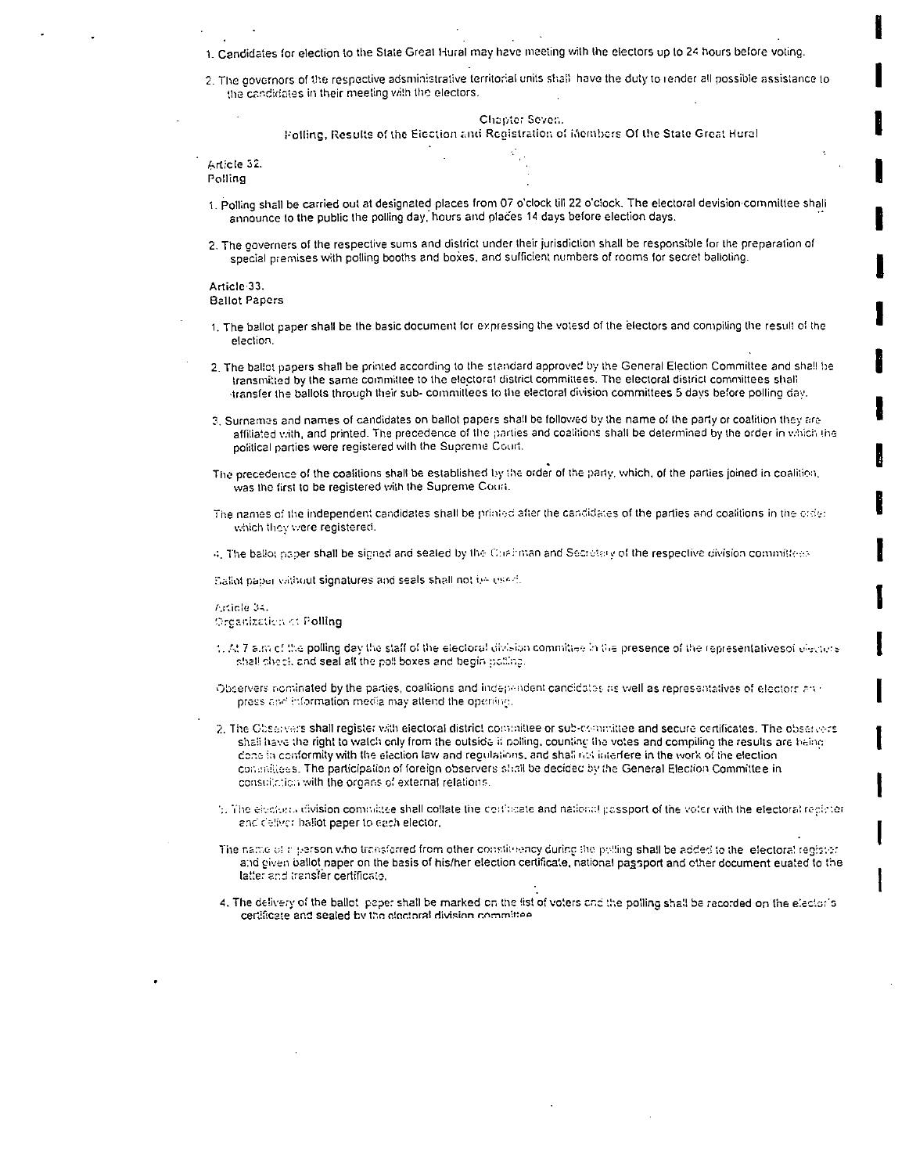1. Candidates for election to the State Great Hural may have meeting with the electors up to 24 hours before voting.

2. The governors of the respective adsministrative territorial units shall have the duty to render all possible assistance to the candidates in their meeting vith the electors.

Chapter Seven.

Polling, Results of the Eiection and Registration of inembers Of the State Great Hural

| Article 32. |  |  |
|-------------|--|--|
| Polling     |  |  |
|             |  |  |
|             |  |  |

- 1. Polling shall be carried out at designated places from 07 o'clock till 22 o'clock. The electoral devision committee shall announce to the public the polling day, hours and places 14 days before election days.
- 2. The governers of the respective sums and district under their jurisdiction shall be responsible for the preparation of special premises with polling booths and boxes, and sufficient numbers of rooms for secret balloting.

Article 33. **Ballot Papers** 

- 1. The ballot paper shall be the basic document for expressing the votesd of the electors and compiling the result of the election.
- 2. The ballot papers shall be printed according to the standard approved by the General Election Committee and shall be transmitted by the same committee to the electoral district committees. The electoral district committees shall transfer the ballots through their sub- committees to the electoral division committees 5 days before polling day.
- 3. Surnames and names of candidates on ballot papers shall be followed by the name of the party or coalition they are affiliated vith, and printed. The precedence of the parties and coalitions shall be determined by the order in which the political parties were registered with the Supreme Court.
- The precedence of the coalitions shall be established by the order of the party, which, of the parties joined in coalition, was the first to be registered with the Supreme Court.
- The names of the independent candidates shall be printed after the candidates of the parties and coalitions in the order which they were registered.
- 4. The ballot naper shall be signed and sealed by the Chairman and Secretary of the respective division committees

Sallot paper valitout signatures and seals shall not be used.

Article 34. Organization of Polling

- 1. At 7 a.m of the polling day the staff of the electoral division committee in the presence of the representativesof electors shall check and seal all the poll boxes and begin bolling.
- Observers nominated by the parties, coalitions and independent candidates as well as representatives of electors and press and information media may attend the opening.
- 2. The Observers shall register with electoral district controllee or sub-committee and secure certificates. The observers shall have the right to watch only from the outside if polling, counting the votes and compiling the results are being done in conformity with the election law and requistions, and shall not interfere in the work of the election consinitiess. The participation of foreign observers shall be decided by the General Election Committee in consultation with the organs of external relations.
- 5. The electors division connulate shall collate the conflicate and national passport of the voter with the electoral recipier and deliver ballot paper to each elector,
- The name of reperson who transferred from other constituency during the polling shall be added to the lefectoral register. and given ballot paper on the basis of his/her election certificate, national passport and other document euated to the latter and transfer certificate.
- 4. The delivery of the ballot paper shall be marked on the list of voters and the polling shall be recorded on the elector's certificate and sealed by the electoral division committee.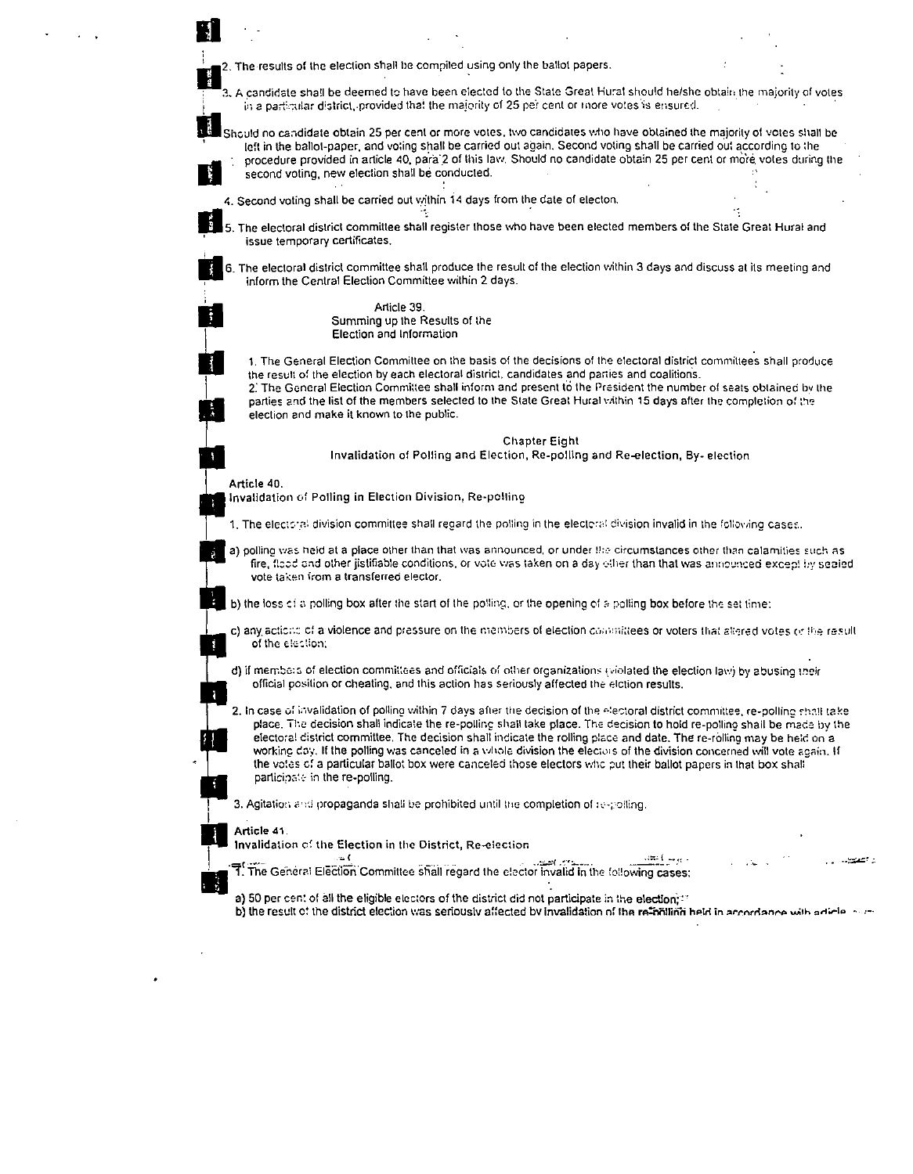II<br>II 2. The results of the election shall be compiled using only the ballol papers.<br>II 2. A candidate shall be deemed to have been elected to the State Great Hural should be/she obtain the majority of vo  $3.$  A candidate sha!l be deemed to have been elected to the State Great Hural should he/she obtain the majority of votes in a particular district, provided that the majority of 25 per cent or inore votes is ensured.

Should no candidate obtain 25 per cent or more votes, two candidates who have obtained the majority of votes shall be left in the ballot-paper, and voting shall be carried out again. Second voting shall be carried out according to the II procedure provided in article 40, para 2 of this law. Should no candidate obtain 25 per cent or more votes during the second voting, new election shall be conducted.<br>4. Second voting shall be carried out within 14 days second voting, new election shall be conducted.

ية المراجعة.<br>5. The electoral district committee shall register those who have been elected members of the State Great Hurat and issue temporary certificates.

II, 6. The electorat district committee shaH produce the result of the election within 3 days and discuss at its meeting and inform the Central Election Committee within 2 days.

> Article 39. Summing up the Results of the Election and Information

1. The General Election Committee on the basis of the decisions of the electoral district committees shall produce the result of the election by each electoral district, candidates and parties and coalitions.

2. The General Election Committee shall inform and present to the President the number of seats obtained by the parties and the list of the members selected to the State Great Hural within 15 days after the completion of the election and make it known to the public.

Chapter Eight

Invalidation of POlling and Election, Re-polling and Re-election, By- election

# Article 40

Invalidation of Polling in Election Division, Re-polling

- 1. The electoral division committee shall regard the polling in the electoral division invalid in the folloving cases.
- a) polling was held at a place other than that was announced, or under the circumstances other than calamities such as fire, flood and other jistifiable conditions, or vote was taken on a day ether than that was announced except by sealed vote taken from a transferred elector.

b) the loss of a polling box after the start of the polling, or the opening of a polling box before the set time:

c) any actions of a violence and pressure on the members of election committees or voters that altered votes (y the result of the election:

d) if members of election committees and officials of other organizations (violated the election law) by abusing their official position or cheating, and this action has seriously affected the elction results.

2. In case of invalidation of polling within 7 days after the decision of the electoral district committee, re-polling shall take place. The decision shall indicate the re-polling shall take place. The decision to hold re-polling shall be made by the electoral district committee. The decision shall indicate the rolling place and date. The re-rolling may be held on a working day. If the polling was canceled in a whole division the electors of the division concerned will vote again. If the votes of a particular ballot box were canceled those electors who put their ballot papers in that box shall participate in the re-polling.

3. Agitation and propaganda shall be prohibited until the completion of re-polling.

Article 41.

Invalidation of the Election in the District, Re-election

.: اعتصد من التحصيل التي يستطيع المستطيع التي يستطيع التي يستطيع التي يستطيع التي يستطيع التي يستطيع التي يستط<br>The General Election Committee shall regard the elector invalid in the following cases:

a) 50 per cent of all the eligible electors of the district did not participate in the election;:"

b) the result of the district election was seriously affected by invalidation of the re-mailing held in accordance with adicle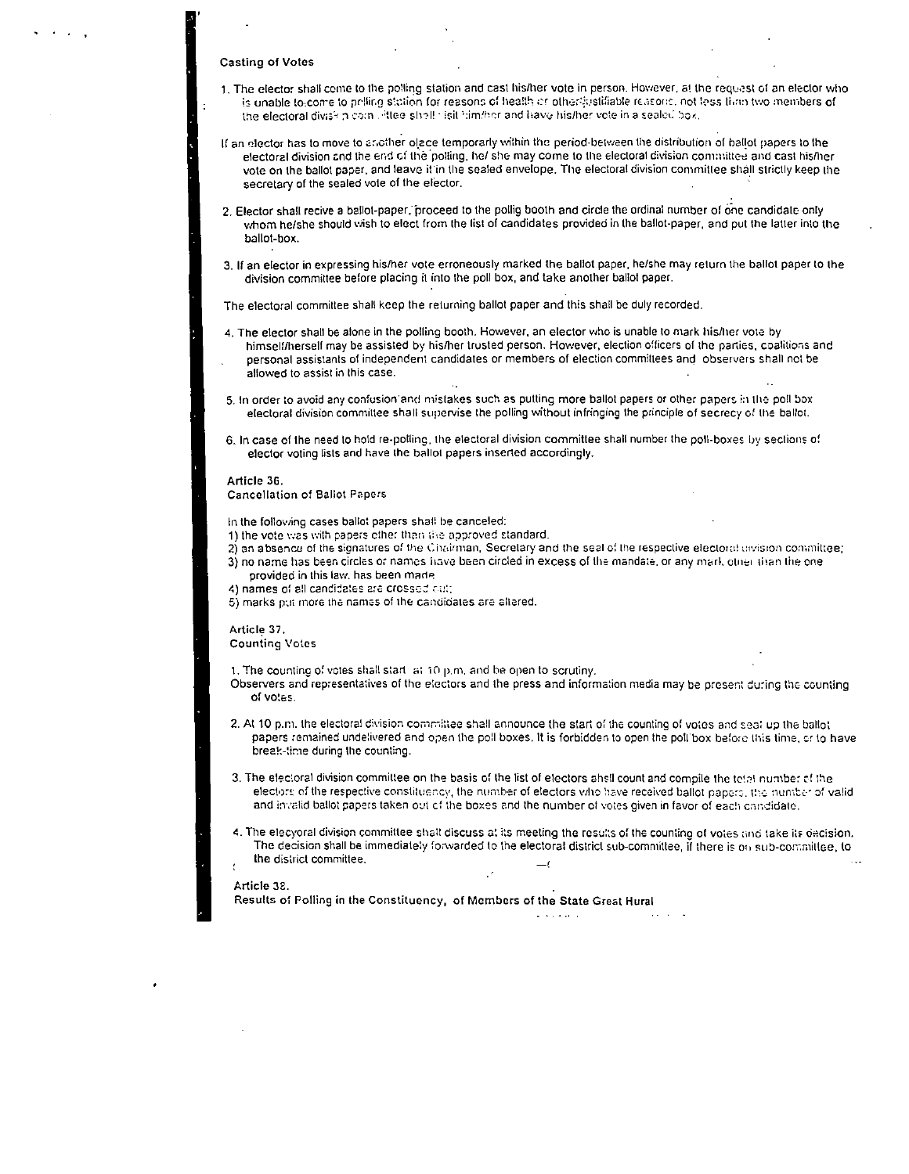## Casting of Votes

- 1. The elector shall ceme to the polling station and cast his/her vote in person. However, at the request of an elector who is unable to come to polling station for reasons of health or other justifiable reasons, not less than two members of the electoral divisitin com , iftee slight isit l:im/her and have his/her vote in a sealed box.
- If an elector has to move to another olace temporarly within the period-between the distribution of ballot papers to the electoral division and the end of the polling, he/ she may come to the electoral division committee and cast his/her vote on the ballot paper, and leave it in the sealed envelope. The electoral division committee shall strictly keep the secretary of the sealed vole of the elector.
- 2. Elector shall recive a ballot-paper, proceed to the pollig booth and circle the ordinal number of one candidate only whom he/she should wish to elect from the list of candidates provided in the ballot-paper, and put the latter into the ballot-box.
- 3. If an elector in expressing his/her vote erroneously marked the ballot paper, he/she may return the ballot paper 10 the division committee before placing il into the poll box, and take another ballot paper.

The electoral committee shall keep the returning ballot paper and this shall be duly recorded.

- 4. The elector shall be alone in the polling booth. However, an elector who is unable to mark his/her vOle by himself/herself may be assisted by hislher trusted person. However, election officers of the parties, coalitions and personal assistants of independent candidates or members of election committees and observers shall not be allowed to assist in this case.
- 5. In order to avoid any confusion'and mistakes such as putting more ballot papers or other papers in the poll box electoral division committee shall supervise the polling without infringing the principle of secrecy of the ballot.
- 6. In case of the need to hold re-polling, the electoral division committee shall number the poll-boxes by sections of elector voting lists and have the ballot papers inserted accordingly.

#### Article 36,

Cancellation of Ballot Papers

In the following cases ballo: papers shall be canceled:

- 1) the vote was with papers ether than the approved standard.
- 2) an absence of the signatures of the Chairman, Secrelary and the seal of the respective electoral division committee; 3) no name has been circles or names li.sve been circled in excess of the mandate, or any mark other tilen the one
- provided in this law, has been made. 4) names of all candidates are crossed cut;
- 
- 5) marks put more the names of the candidates are altered.

# Article 37.

Counting Votes

1. The counting of votes shall start  $\vert$  at 10 p.m. and be open to scrutiny.

- Observers and representatives of the electors and the press and information media may be present during the counting of votes.
- 2. At 10 p.m. the electoral division committee shall announce the start of the counting of votes and sea! up the ballot papers remained undelivered and open the poll boxes. It is forbidden to open the poll box before this time, or to have break-:ime during the counting.
- 3. The electoral division committee on the basis of the list of electors ahell count and compile the tetal number of the electors of the respective constituency, the number of electors who have received ballot papers, the number of valid and invalid ballot papers taken out of the boxes and the number of votes given in favor of each candidate.
- 4. The elecyoral division committee shall discuss at its meeting the results of the counting of votes and take its decision. The decision shall be immediately forwarded to the electoral district sub-committee, if there is on sub-committee, to lhe district committee.

#### Article 38.

Results of Polling in the Constituency, of Members of the State Great Hural